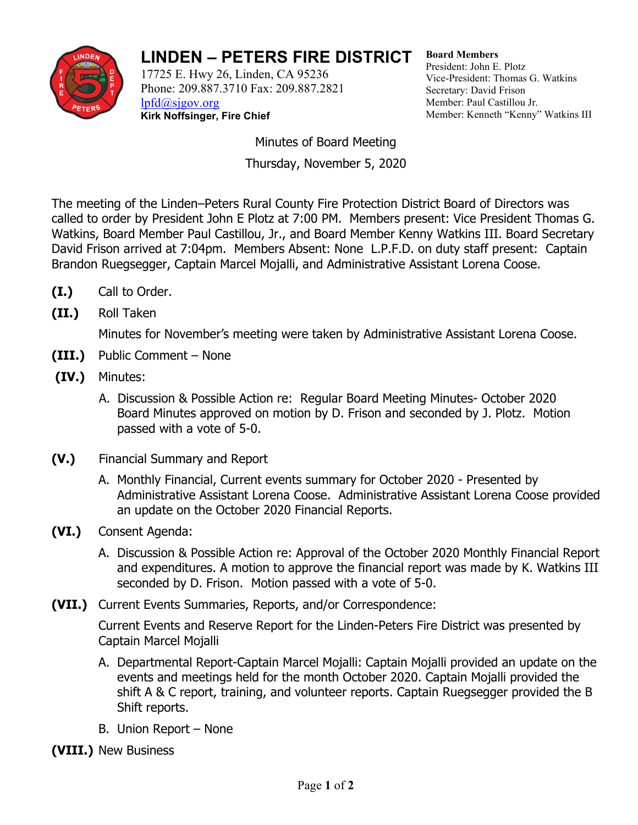

## **LINDEN – PETERS FIRE DISTRICT**

17725 E. Hwy 26, Linden, CA 95236 Phone: 209.887.3710 Fax: 209.887.2821 [lpfd@sjgov.org](mailto:lpfd@sjgov.org) **Kirk Noffsinger, Fire Chief**

**Board Members** President: John E. Plotz Vice-President: Thomas G. Watkins Secretary: David Frison Member: Paul Castillou Jr. Member: Kenneth "Kenny" Watkins III

Minutes of Board Meeting Thursday, November 5, 2020

The meeting of the Linden–Peters Rural County Fire Protection District Board of Directors was called to order by President John E Plotz at 7:00 PM. Members present: Vice President Thomas G. Watkins, Board Member Paul Castillou, Jr., and Board Member Kenny Watkins III. Board Secretary David Frison arrived at 7:04pm. Members Absent: None L.P.F.D. on duty staff present: Captain Brandon Ruegsegger, Captain Marcel Mojalli, and Administrative Assistant Lorena Coose.

- **(I.)** Call to Order.
- **(II.)** Roll Taken

Minutes for November's meeting were taken by Administrative Assistant Lorena Coose.

- **(III.)** Public Comment None
- **(IV.)** Minutes:
	- A. Discussion & Possible Action re: Regular Board Meeting Minutes- October 2020 Board Minutes approved on motion by D. Frison and seconded by J. Plotz. Motion passed with a vote of 5-0.
- **(V.)** Financial Summary and Report
	- A. Monthly Financial, Current events summary for October 2020 Presented by Administrative Assistant Lorena Coose. Administrative Assistant Lorena Coose provided an update on the October 2020 Financial Reports.
- **(VI.)** Consent Agenda:
	- A. Discussion & Possible Action re: Approval of the October 2020 Monthly Financial Report and expenditures. A motion to approve the financial report was made by K. Watkins III seconded by D. Frison. Motion passed with a vote of 5-0.
- **(VII.)** Current Events Summaries, Reports, and/or Correspondence:

Current Events and Reserve Report for the Linden-Peters Fire District was presented by Captain Marcel Mojalli

- A. Departmental Report-Captain Marcel Mojalli: Captain Mojalli provided an update on the events and meetings held for the month October 2020. Captain Mojalli provided the shift A & C report, training, and volunteer reports. Captain Ruegsegger provided the B Shift reports.
- B. Union Report None
- **(VIII.)** New Business